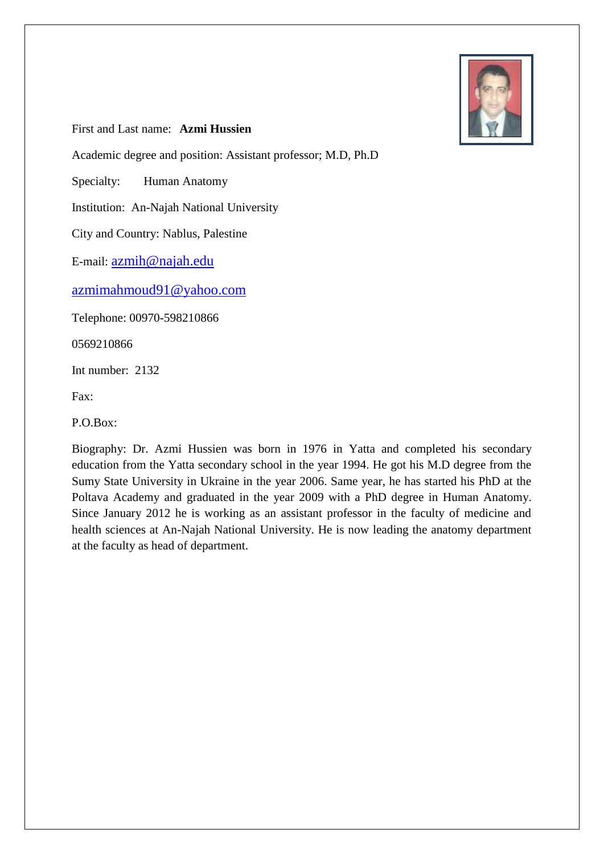

First and Last name: **Azmi Hussien**

Academic degree and position: Assistant professor; M.D, Ph.D

Specialty: Human Anatomy

Institution: An-Najah National University

City and Country: Nablus, Palestine

E-mail: azmih@najah.edu

azmimahmoud91@yahoo.com

Telephone: 00970-598210866

0569210866

Int number: 2132

Fax:

P.O.Box:

Biography: Dr. Azmi Hussien was born in 1976 in Yatta and completed his secondary education from the Yatta secondary school in the year 1994. He got his M.D degree from the Sumy State University in Ukraine in the year 2006. Same year, he has started his PhD at the Poltava Academy and graduated in the year 2009 with a PhD degree in Human Anatomy. Since January 2012 he is working as an assistant professor in the faculty of medicine and health sciences at An-Najah National University. He is now leading the anatomy department at the faculty as head of department.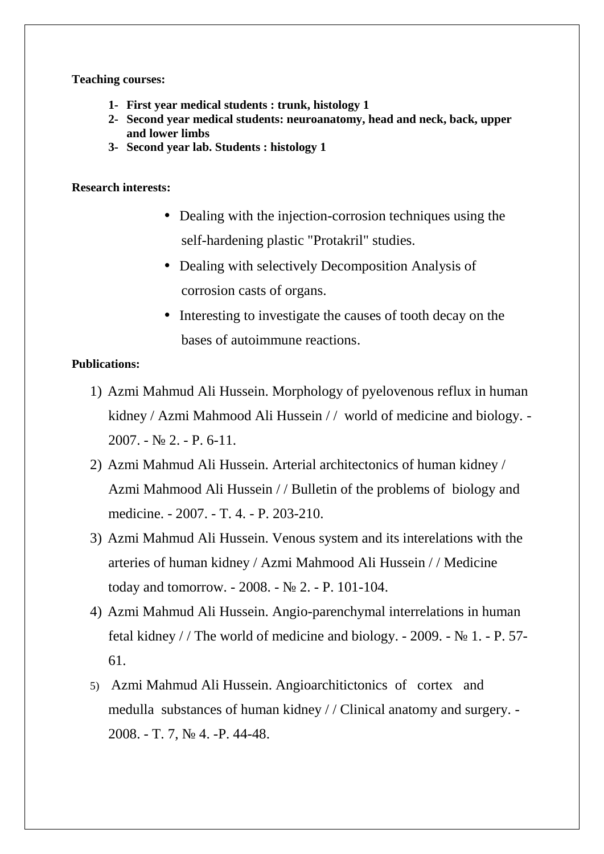**Teaching courses:**

- **1- First year medical students : trunk, histology 1**
- **2- Second year medical students: neuroanatomy, head and neck, back, upper and lower limbs**
- **3- Second year lab. Students : histology 1**

## **Research interests:**

- Dealing with the injection-corrosion techniques using the self-hardening plastic "Protakril" studies.
- Dealing with selectively Decomposition Analysis of corrosion casts of organs.
- Interesting to investigate the causes of tooth decay on the bases of autoimmune reactions.

## **Publications:**

- 1) Azmi Mahmud Ali Hussein. Morphology of pyelovenous reflux in human kidney / Azmi Mahmood Ali Hussein / / world of medicine and b ology. - $2007. - 2. - P. 6-11.$
- 2) Azmi Mahmud Ali Hussein. Arterial architectonics of human kidney / Azmi Mahmood Ali Hussein / / Bulletin of the problems of biology and medicine. - 2007. - T. 4. - P. 203-210.
- 3) Azmi Mahmud Ali Hussein. Venous system and its interelations with the arteries of human kidney / Azmi Mahmood Ali Hussein / / Medicine today and tomorrow.  $-2008. - 2. - P. 101-104.$
- 4) Azmi Mahmud Ali Hussein. Angio-parenchymal interrelations in human fetal kidney / / The world of medicine and biology.  $-2009. - 1. - P. 57-$ 61.
- 5) Azmi Mahmud Ali Hussein. Angioarchitictonics of cortex and medulla substances of human kidney / / Clinical anatomy and surgery. - 2008. - T. 7, № 4. -P. 44-48.